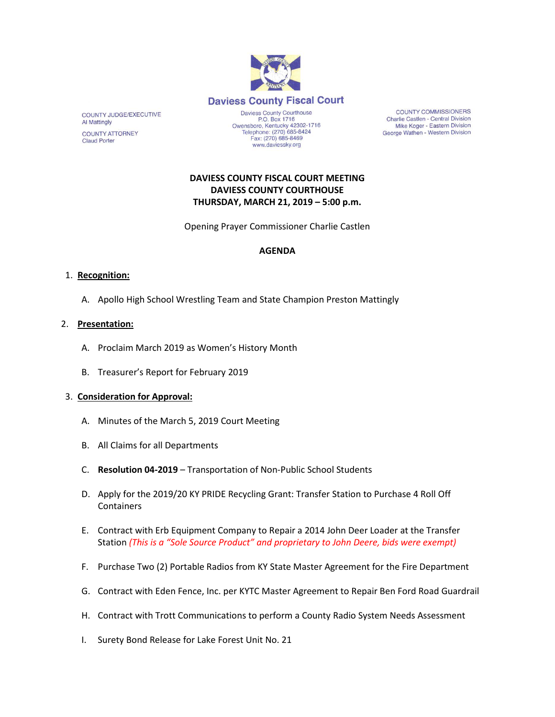

Fax: (270) 685-8469

www.daviessky.org

**COUNTY COMMISSIONERS** Charlie Castlen - Central Division Mike Koger - Eastern Division George Wathen - Western Division

**DAVIESS COUNTY FISCAL COURT MEETING DAVIESS COUNTY COURTHOUSE THURSDAY, MARCH 21, 2019 – 5:00 p.m.** 

Opening Prayer Commissioner Charlie Castlen

## **AGENDA**

### 1. **Recognition:**

COUNTY JUDGE/EXECUTIVE

**COUNTY ATTORNEY** 

**Al Mattingly** 

**Claud Porter** 

A. Apollo High School Wrestling Team and State Champion Preston Mattingly

### 2. **Presentation:**

- A. Proclaim March 2019 as Women's History Month
- B. Treasurer's Report for February 2019

### 3. **Consideration for Approval:**

- A. Minutes of the March 5, 2019 Court Meeting
- B. All Claims for all Departments
- C. **Resolution 04-2019** Transportation of Non-Public School Students
- D. Apply for the 2019/20 KY PRIDE Recycling Grant: Transfer Station to Purchase 4 Roll Off Containers
- E. Contract with Erb Equipment Company to Repair a 2014 John Deer Loader at the Transfer Station *(This is a "Sole Source Product" and proprietary to John Deere, bids were exempt)*
- F. Purchase Two (2) Portable Radios from KY State Master Agreement for the Fire Department
- G. Contract with Eden Fence, Inc. per KYTC Master Agreement to Repair Ben Ford Road Guardrail
- H. Contract with Trott Communications to perform a County Radio System Needs Assessment
- I. Surety Bond Release for Lake Forest Unit No. 21